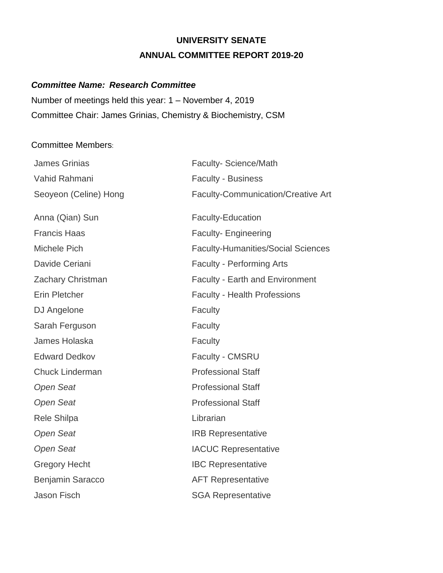# **UNIVERSITY SENATE ANNUAL COMMITTEE REPORT 2019-20**

# *Committee Name: Research Committee*

Number of meetings held this year: 1 – November 4, 2019 Committee Chair: James Grinias, Chemistry & Biochemistry, CSM

#### Committee Members:

| <b>James Grinias</b>   | <b>Faculty-Science/Math</b>               |
|------------------------|-------------------------------------------|
| Vahid Rahmani          | <b>Faculty - Business</b>                 |
| Seoyeon (Celine) Hong  | <b>Faculty-Communication/Creative Art</b> |
|                        |                                           |
| Anna (Qian) Sun        | <b>Faculty-Education</b>                  |
| <b>Francis Haas</b>    | <b>Faculty-Engineering</b>                |
| Michele Pich           | <b>Faculty-Humanities/Social Sciences</b> |
| Davide Ceriani         | <b>Faculty - Performing Arts</b>          |
| Zachary Christman      | <b>Faculty - Earth and Environment</b>    |
| Erin Pletcher          | <b>Faculty - Health Professions</b>       |
| DJ Angelone            | Faculty                                   |
| Sarah Ferguson         | Faculty                                   |
| James Holaska          | Faculty                                   |
| <b>Edward Dedkov</b>   | Faculty - CMSRU                           |
| <b>Chuck Linderman</b> | <b>Professional Staff</b>                 |
| <b>Open Seat</b>       | <b>Professional Staff</b>                 |
| <b>Open Seat</b>       | <b>Professional Staff</b>                 |
| Rele Shilpa            | Librarian                                 |
| <b>Open Seat</b>       | <b>IRB Representative</b>                 |
| <b>Open Seat</b>       | <b>IACUC Representative</b>               |
| <b>Gregory Hecht</b>   | <b>IBC Representative</b>                 |
| Benjamin Saracco       | <b>AFT Representative</b>                 |
| <b>Jason Fisch</b>     | <b>SGA Representative</b>                 |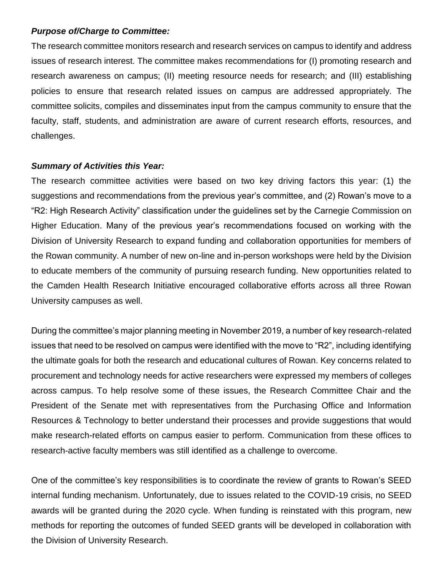#### *Purpose of/Charge to Committee:*

The research committee monitors research and research services on campus to identify and address issues of research interest. The committee makes recommendations for (I) promoting research and research awareness on campus; (II) meeting resource needs for research; and (III) establishing policies to ensure that research related issues on campus are addressed appropriately. The committee solicits, compiles and disseminates input from the campus community to ensure that the faculty, staff, students, and administration are aware of current research efforts, resources, and challenges.

#### *Summary of Activities this Year:*

The research committee activities were based on two key driving factors this year: (1) the suggestions and recommendations from the previous year's committee, and (2) Rowan's move to a "R2: High Research Activity" classification under the guidelines set by the Carnegie Commission on Higher Education. Many of the previous year's recommendations focused on working with the Division of University Research to expand funding and collaboration opportunities for members of the Rowan community. A number of new on-line and in-person workshops were held by the Division to educate members of the community of pursuing research funding. New opportunities related to the Camden Health Research Initiative encouraged collaborative efforts across all three Rowan University campuses as well.

During the committee's major planning meeting in November 2019, a number of key research-related issues that need to be resolved on campus were identified with the move to "R2", including identifying the ultimate goals for both the research and educational cultures of Rowan. Key concerns related to procurement and technology needs for active researchers were expressed my members of colleges across campus. To help resolve some of these issues, the Research Committee Chair and the President of the Senate met with representatives from the Purchasing Office and Information Resources & Technology to better understand their processes and provide suggestions that would make research-related efforts on campus easier to perform. Communication from these offices to research-active faculty members was still identified as a challenge to overcome.

One of the committee's key responsibilities is to coordinate the review of grants to Rowan's SEED internal funding mechanism. Unfortunately, due to issues related to the COVID-19 crisis, no SEED awards will be granted during the 2020 cycle. When funding is reinstated with this program, new methods for reporting the outcomes of funded SEED grants will be developed in collaboration with the Division of University Research.